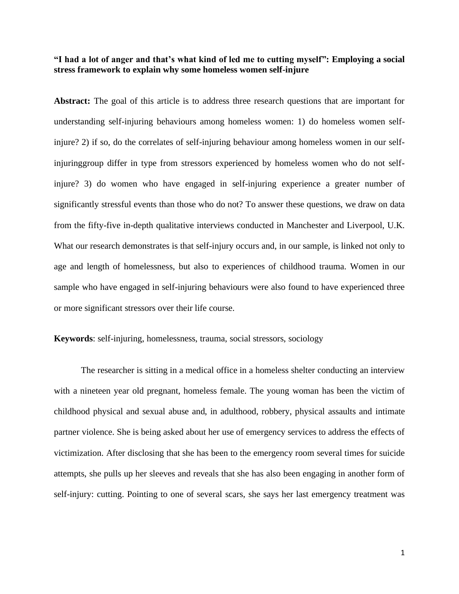# **"I had a lot of anger and that's what kind of led me to cutting myself": Employing a social stress framework to explain why some homeless women self-injure**

**Abstract:** The goal of this article is to address three research questions that are important for understanding self-injuring behaviours among homeless women: 1) do homeless women selfinjure? 2) if so, do the correlates of self-injuring behaviour among homeless women in our selfinjuringgroup differ in type from stressors experienced by homeless women who do not selfinjure? 3) do women who have engaged in self-injuring experience a greater number of significantly stressful events than those who do not? To answer these questions, we draw on data from the fifty-five in-depth qualitative interviews conducted in Manchester and Liverpool, U.K. What our research demonstrates is that self-injury occurs and, in our sample, is linked not only to age and length of homelessness, but also to experiences of childhood trauma. Women in our sample who have engaged in self-injuring behaviours were also found to have experienced three or more significant stressors over their life course.

# **Keywords**: self-injuring, homelessness, trauma, social stressors, sociology

The researcher is sitting in a medical office in a homeless shelter conducting an interview with a nineteen year old pregnant, homeless female. The young woman has been the victim of childhood physical and sexual abuse and, in adulthood, robbery, physical assaults and intimate partner violence. She is being asked about her use of emergency services to address the effects of victimization. After disclosing that she has been to the emergency room several times for suicide attempts, she pulls up her sleeves and reveals that she has also been engaging in another form of self-injury: cutting. Pointing to one of several scars, she says her last emergency treatment was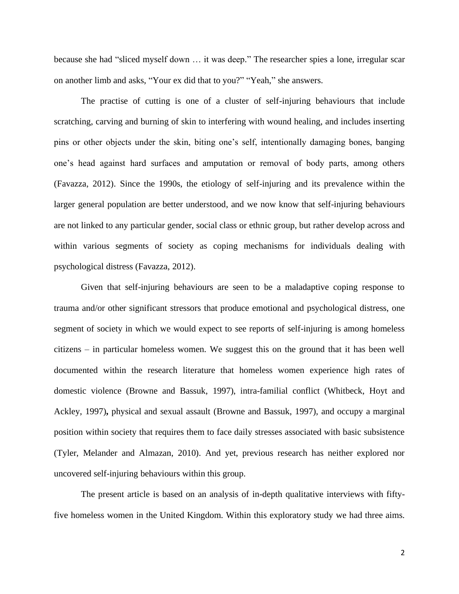because she had "sliced myself down … it was deep." The researcher spies a lone, irregular scar on another limb and asks, "Your ex did that to you?" "Yeah," she answers.

The practise of cutting is one of a cluster of self-injuring behaviours that include scratching, carving and burning of skin to interfering with wound healing, and includes inserting pins or other objects under the skin, biting one's self, intentionally damaging bones, banging one's head against hard surfaces and amputation or removal of body parts, among others (Favazza, 2012). Since the 1990s, the etiology of self-injuring and its prevalence within the larger general population are better understood, and we now know that self-injuring behaviours are not linked to any particular gender, social class or ethnic group, but rather develop across and within various segments of society as coping mechanisms for individuals dealing with psychological distress (Favazza, 2012).

Given that self-injuring behaviours are seen to be a maladaptive coping response to trauma and/or other significant stressors that produce emotional and psychological distress, one segment of society in which we would expect to see reports of self-injuring is among homeless citizens – in particular homeless women. We suggest this on the ground that it has been well documented within the research literature that homeless women experience high rates of domestic violence (Browne and Bassuk, 1997), intra-familial conflict (Whitbeck, Hoyt and Ackley, 1997)**,** physical and sexual assault (Browne and Bassuk, 1997), and occupy a marginal position within society that requires them to face daily stresses associated with basic subsistence (Tyler, Melander and Almazan, 2010). And yet, previous research has neither explored nor uncovered self-injuring behaviours within this group.

The present article is based on an analysis of in-depth qualitative interviews with fiftyfive homeless women in the United Kingdom. Within this exploratory study we had three aims.

2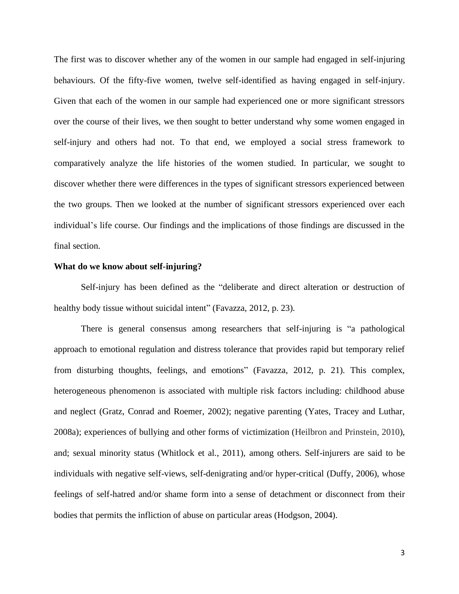The first was to discover whether any of the women in our sample had engaged in self-injuring behaviours. Of the fifty-five women, twelve self-identified as having engaged in self-injury. Given that each of the women in our sample had experienced one or more significant stressors over the course of their lives, we then sought to better understand why some women engaged in self-injury and others had not. To that end, we employed a social stress framework to comparatively analyze the life histories of the women studied. In particular, we sought to discover whether there were differences in the types of significant stressors experienced between the two groups. Then we looked at the number of significant stressors experienced over each individual's life course. Our findings and the implications of those findings are discussed in the final section.

### **What do we know about self-injuring?**

Self-injury has been defined as the "deliberate and direct alteration or destruction of healthy body tissue without suicidal intent" (Favazza, 2012, p. 23).

There is general consensus among researchers that self-injuring is "a pathological approach to emotional regulation and distress tolerance that provides rapid but temporary relief from disturbing thoughts, feelings, and emotions" (Favazza, 2012, p. 21). This complex, heterogeneous phenomenon is associated with multiple risk factors including: childhood abuse and neglect (Gratz, Conrad and Roemer, 2002); negative parenting (Yates, Tracey and Luthar, 2008a); experiences of bullying and other forms of victimization (Heilbron and Prinstein, 2010), and; sexual minority status (Whitlock et al., 2011), among others. Self-injurers are said to be individuals with negative self-views, self-denigrating and/or hyper-critical (Duffy, 2006), whose feelings of self-hatred and/or shame form into a sense of detachment or disconnect from their bodies that permits the infliction of abuse on particular areas (Hodgson, 2004).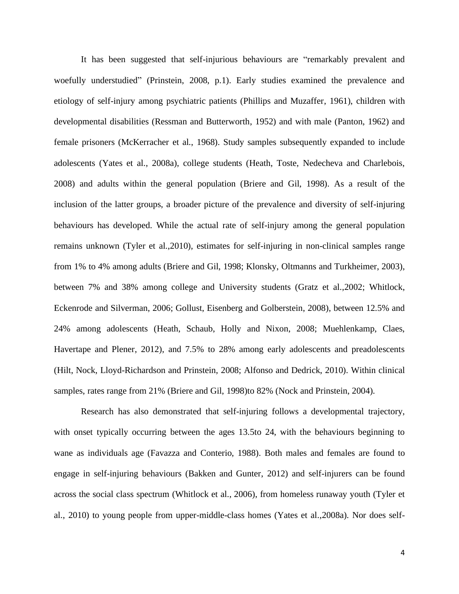It has been suggested that self-injurious behaviours are "remarkably prevalent and woefully understudied" (Prinstein, 2008, p.1). Early studies examined the prevalence and etiology of self-injury among psychiatric patients (Phillips and Muzaffer, 1961), children with developmental disabilities (Ressman and Butterworth, 1952) and with male (Panton, 1962) and female prisoners (McKerracher et al., 1968). Study samples subsequently expanded to include adolescents (Yates et al., 2008a), college students (Heath, Toste, Nedecheva and Charlebois, 2008) and adults within the general population (Briere and Gil, 1998). As a result of the inclusion of the latter groups, a broader picture of the prevalence and diversity of self-injuring behaviours has developed. While the actual rate of self-injury among the general population remains unknown (Tyler et al.,2010), estimates for self-injuring in non-clinical samples range from 1% to 4% among adults (Briere and Gil, 1998; Klonsky, Oltmanns and Turkheimer, 2003), between 7% and 38% among college and University students (Gratz et al.,2002; Whitlock, Eckenrode and Silverman, 2006; Gollust, Eisenberg and Golberstein, 2008), between 12.5% and 24% among adolescents (Heath, Schaub, Holly and Nixon, 2008; Muehlenkamp, Claes, Havertape and Plener, 2012), and 7.5% to 28% among early adolescents and preadolescents (Hilt, Nock, Lloyd-Richardson and Prinstein, 2008; Alfonso and Dedrick, 2010). Within clinical samples, rates range from 21% (Briere and Gil, 1998)to 82% (Nock and Prinstein, 2004).

Research has also demonstrated that self-injuring follows a developmental trajectory, with onset typically occurring between the ages 13.5to 24, with the behaviours beginning to wane as individuals age (Favazza and Conterio, 1988). Both males and females are found to engage in self-injuring behaviours (Bakken and Gunter, 2012) and self-injurers can be found across the social class spectrum (Whitlock et al., 2006), from homeless runaway youth (Tyler et al., 2010) to young people from upper-middle-class homes (Yates et al.,2008a). Nor does self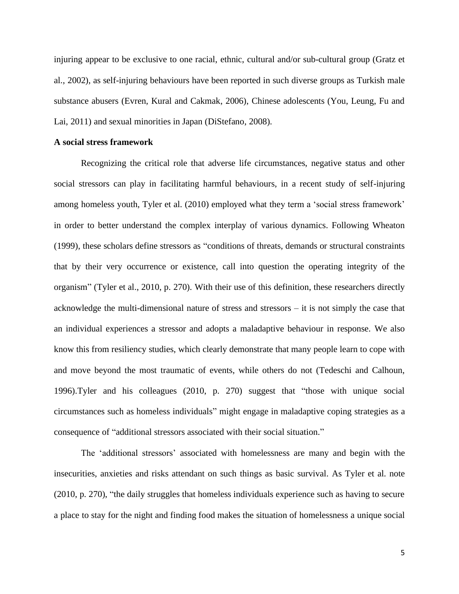injuring appear to be exclusive to one racial, ethnic, cultural and/or sub-cultural group (Gratz et al., 2002), as self-injuring behaviours have been reported in such diverse groups as Turkish male substance abusers (Evren, Kural and Cakmak, 2006), Chinese adolescents (You, Leung, Fu and Lai, 2011) and sexual minorities in Japan (DiStefano, 2008).

# **A social stress framework**

Recognizing the critical role that adverse life circumstances, negative status and other social stressors can play in facilitating harmful behaviours, in a recent study of self-injuring among homeless youth, Tyler et al. (2010) employed what they term a 'social stress framework' in order to better understand the complex interplay of various dynamics. Following Wheaton (1999), these scholars define stressors as "conditions of threats, demands or structural constraints that by their very occurrence or existence, call into question the operating integrity of the organism" (Tyler et al., 2010, p. 270). With their use of this definition, these researchers directly acknowledge the multi-dimensional nature of stress and stressors – it is not simply the case that an individual experiences a stressor and adopts a maladaptive behaviour in response. We also know this from resiliency studies, which clearly demonstrate that many people learn to cope with and move beyond the most traumatic of events, while others do not (Tedeschi and Calhoun, 1996).Tyler and his colleagues (2010, p. 270) suggest that "those with unique social circumstances such as homeless individuals" might engage in maladaptive coping strategies as a consequence of "additional stressors associated with their social situation."

The 'additional stressors' associated with homelessness are many and begin with the insecurities, anxieties and risks attendant on such things as basic survival. As Tyler et al. note (2010, p. 270), "the daily struggles that homeless individuals experience such as having to secure a place to stay for the night and finding food makes the situation of homelessness a unique social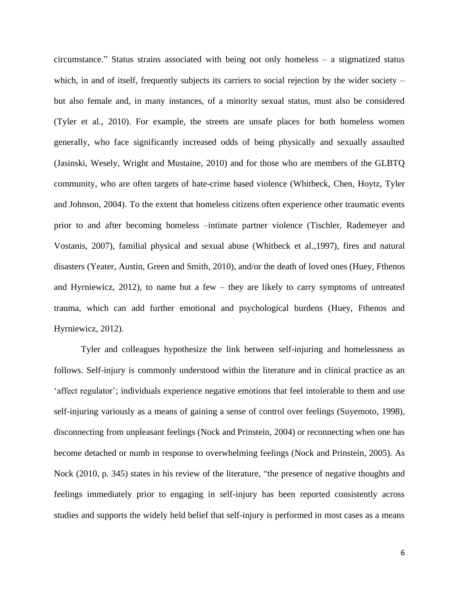circumstance." Status strains associated with being not only homeless – a stigmatized status which, in and of itself, frequently subjects its carriers to social rejection by the wider society – but also female and, in many instances, of a minority sexual status, must also be considered (Tyler et al., 2010). For example, the streets are unsafe places for both homeless women generally, who face significantly increased odds of being physically and sexually assaulted (Jasinski, Wesely, Wright and Mustaine, 2010) and for those who are members of the GLBTQ community, who are often targets of hate-crime based violence (Whitbeck, Chen, Hoytz, Tyler and Johnson, 2004). To the extent that homeless citizens often experience other traumatic events prior to and after becoming homeless –intimate partner violence (Tischler, Rademeyer and Vostanis, 2007), familial physical and sexual abuse (Whitbeck et al.,1997), fires and natural disasters (Yeater, Austin, Green and Smith, 2010), and/or the death of loved ones (Huey, Fthenos and Hyrniewicz, 2012), to name but a few – they are likely to carry symptoms of untreated trauma, which can add further emotional and psychological burdens (Huey, Fthenos and Hyrniewicz, 2012).

Tyler and colleagues hypothesize the link between self-injuring and homelessness as follows. Self-injury is commonly understood within the literature and in clinical practice as an 'affect regulator'; individuals experience negative emotions that feel intolerable to them and use self-injuring variously as a means of gaining a sense of control over feelings (Suyemoto, 1998), disconnecting from unpleasant feelings (Nock and Prinstein, 2004) or reconnecting when one has become detached or numb in response to overwhelming feelings (Nock and Prinstein, 2005). As Nock (2010, p. 345) states in his review of the literature, "the presence of negative thoughts and feelings immediately prior to engaging in self-injury has been reported consistently across studies and supports the widely held belief that self-injury is performed in most cases as a means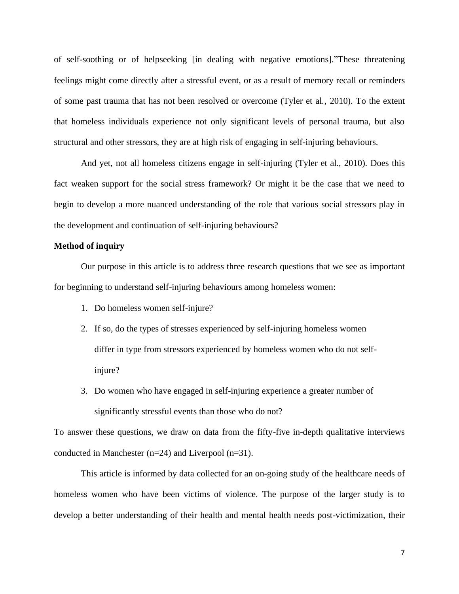of self-soothing or of helpseeking [in dealing with negative emotions]."These threatening feelings might come directly after a stressful event, or as a result of memory recall or reminders of some past trauma that has not been resolved or overcome (Tyler et al., 2010). To the extent that homeless individuals experience not only significant levels of personal trauma, but also structural and other stressors, they are at high risk of engaging in self-injuring behaviours.

And yet, not all homeless citizens engage in self-injuring (Tyler et al., 2010). Does this fact weaken support for the social stress framework? Or might it be the case that we need to begin to develop a more nuanced understanding of the role that various social stressors play in the development and continuation of self-injuring behaviours?

## **Method of inquiry**

Our purpose in this article is to address three research questions that we see as important for beginning to understand self-injuring behaviours among homeless women:

- 1. Do homeless women self-injure?
- 2. If so, do the types of stresses experienced by self-injuring homeless women differ in type from stressors experienced by homeless women who do not selfinjure?
- 3. Do women who have engaged in self-injuring experience a greater number of significantly stressful events than those who do not?

To answer these questions, we draw on data from the fifty-five in-depth qualitative interviews conducted in Manchester (n=24) and Liverpool (n=31).

This article is informed by data collected for an on-going study of the healthcare needs of homeless women who have been victims of violence. The purpose of the larger study is to develop a better understanding of their health and mental health needs post-victimization, their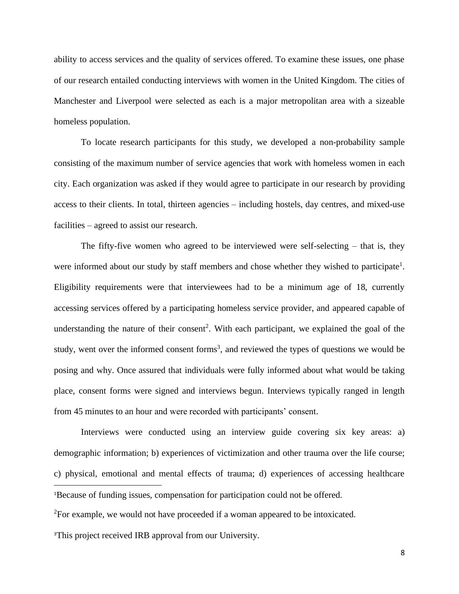ability to access services and the quality of services offered. To examine these issues, one phase of our research entailed conducting interviews with women in the United Kingdom. The cities of Manchester and Liverpool were selected as each is a major metropolitan area with a sizeable homeless population.

To locate research participants for this study, we developed a non-probability sample consisting of the maximum number of service agencies that work with homeless women in each city. Each organization was asked if they would agree to participate in our research by providing access to their clients. In total, thirteen agencies – including hostels, day centres, and mixed-use facilities – agreed to assist our research.

The fifty-five women who agreed to be interviewed were self-selecting – that is, they were informed about our study by staff members and chose whether they wished to participate<sup>1</sup>. Eligibility requirements were that interviewees had to be a minimum age of 18, currently accessing services offered by a participating homeless service provider, and appeared capable of understanding the nature of their consent<sup>2</sup>. With each participant, we explained the goal of the study, went over the informed consent forms<sup>3</sup>, and reviewed the types of questions we would be posing and why. Once assured that individuals were fully informed about what would be taking place, consent forms were signed and interviews begun. Interviews typically ranged in length from 45 minutes to an hour and were recorded with participants' consent.

Interviews were conducted using an interview guide covering six key areas: a) demographic information; b) experiences of victimization and other trauma over the life course; c) physical, emotional and mental effects of trauma; d) experiences of accessing healthcare <sup>1</sup>Because of funding issues, compensation for participation could not be offered.

<sup>2</sup>For example, we would not have proceeded if a woman appeared to be intoxicated.

3This project received IRB approval from our University.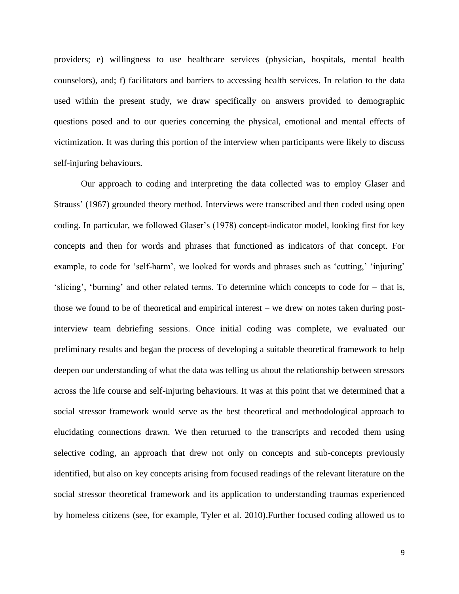providers; e) willingness to use healthcare services (physician, hospitals, mental health counselors), and; f) facilitators and barriers to accessing health services. In relation to the data used within the present study, we draw specifically on answers provided to demographic questions posed and to our queries concerning the physical, emotional and mental effects of victimization. It was during this portion of the interview when participants were likely to discuss self-injuring behaviours.

Our approach to coding and interpreting the data collected was to employ Glaser and Strauss' (1967) grounded theory method. Interviews were transcribed and then coded using open coding. In particular, we followed Glaser's (1978) concept-indicator model, looking first for key concepts and then for words and phrases that functioned as indicators of that concept. For example, to code for 'self-harm', we looked for words and phrases such as 'cutting,' 'injuring' 'slicing', 'burning' and other related terms. To determine which concepts to code for – that is, those we found to be of theoretical and empirical interest – we drew on notes taken during postinterview team debriefing sessions. Once initial coding was complete, we evaluated our preliminary results and began the process of developing a suitable theoretical framework to help deepen our understanding of what the data was telling us about the relationship between stressors across the life course and self-injuring behaviours. It was at this point that we determined that a social stressor framework would serve as the best theoretical and methodological approach to elucidating connections drawn. We then returned to the transcripts and recoded them using selective coding, an approach that drew not only on concepts and sub-concepts previously identified, but also on key concepts arising from focused readings of the relevant literature on the social stressor theoretical framework and its application to understanding traumas experienced by homeless citizens (see, for example, Tyler et al. 2010).Further focused coding allowed us to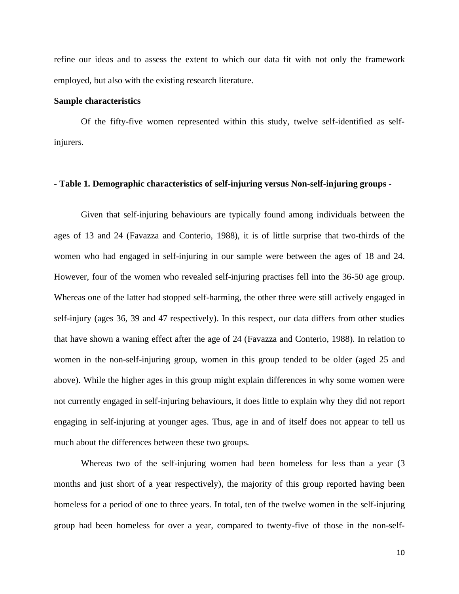refine our ideas and to assess the extent to which our data fit with not only the framework employed, but also with the existing research literature.

#### **Sample characteristics**

Of the fifty-five women represented within this study, twelve self-identified as selfinjurers.

# **- Table 1. Demographic characteristics of self-injuring versus Non-self-injuring groups -**

Given that self-injuring behaviours are typically found among individuals between the ages of 13 and 24 (Favazza and Conterio, 1988), it is of little surprise that two-thirds of the women who had engaged in self-injuring in our sample were between the ages of 18 and 24. However, four of the women who revealed self-injuring practises fell into the 36-50 age group. Whereas one of the latter had stopped self-harming, the other three were still actively engaged in self-injury (ages 36, 39 and 47 respectively). In this respect, our data differs from other studies that have shown a waning effect after the age of 24 (Favazza and Conterio, 1988). In relation to women in the non-self-injuring group, women in this group tended to be older (aged 25 and above). While the higher ages in this group might explain differences in why some women were not currently engaged in self-injuring behaviours, it does little to explain why they did not report engaging in self-injuring at younger ages. Thus, age in and of itself does not appear to tell us much about the differences between these two groups.

Whereas two of the self-injuring women had been homeless for less than a year (3 months and just short of a year respectively), the majority of this group reported having been homeless for a period of one to three years. In total, ten of the twelve women in the self-injuring group had been homeless for over a year, compared to twenty-five of those in the non-self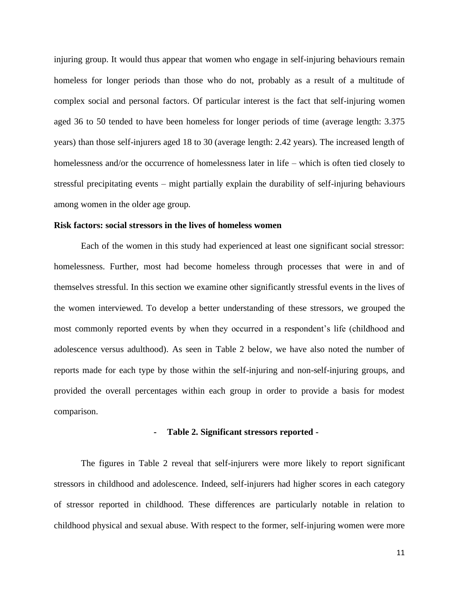injuring group. It would thus appear that women who engage in self-injuring behaviours remain homeless for longer periods than those who do not, probably as a result of a multitude of complex social and personal factors. Of particular interest is the fact that self-injuring women aged 36 to 50 tended to have been homeless for longer periods of time (average length: 3.375 years) than those self-injurers aged 18 to 30 (average length: 2.42 years). The increased length of homelessness and/or the occurrence of homelessness later in life – which is often tied closely to stressful precipitating events – might partially explain the durability of self-injuring behaviours among women in the older age group.

# **Risk factors: social stressors in the lives of homeless women**

Each of the women in this study had experienced at least one significant social stressor: homelessness. Further, most had become homeless through processes that were in and of themselves stressful. In this section we examine other significantly stressful events in the lives of the women interviewed. To develop a better understanding of these stressors, we grouped the most commonly reported events by when they occurred in a respondent's life (childhood and adolescence versus adulthood). As seen in Table 2 below, we have also noted the number of reports made for each type by those within the self-injuring and non-self-injuring groups, and provided the overall percentages within each group in order to provide a basis for modest comparison.

### **- Table 2. Significant stressors reported -**

The figures in Table 2 reveal that self-injurers were more likely to report significant stressors in childhood and adolescence. Indeed, self-injurers had higher scores in each category of stressor reported in childhood. These differences are particularly notable in relation to childhood physical and sexual abuse. With respect to the former, self-injuring women were more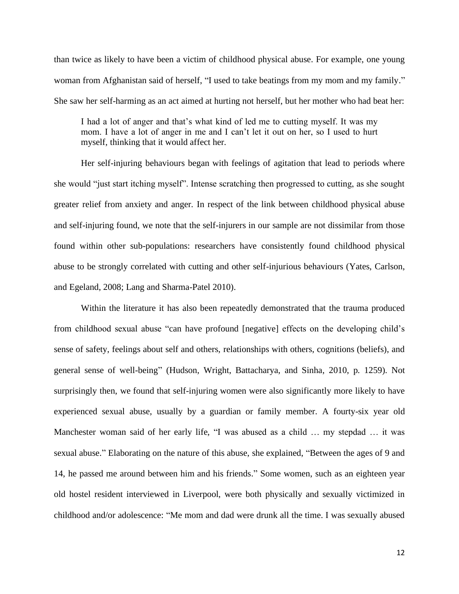than twice as likely to have been a victim of childhood physical abuse. For example, one young woman from Afghanistan said of herself, "I used to take beatings from my mom and my family." She saw her self-harming as an act aimed at hurting not herself, but her mother who had beat her:

I had a lot of anger and that's what kind of led me to cutting myself. It was my mom. I have a lot of anger in me and I can't let it out on her, so I used to hurt myself, thinking that it would affect her.

Her self-injuring behaviours began with feelings of agitation that lead to periods where she would "just start itching myself". Intense scratching then progressed to cutting, as she sought greater relief from anxiety and anger. In respect of the link between childhood physical abuse and self-injuring found, we note that the self-injurers in our sample are not dissimilar from those found within other sub-populations: researchers have consistently found childhood physical abuse to be strongly correlated with cutting and other self-injurious behaviours (Yates, Carlson, and Egeland, 2008; Lang and Sharma-Patel 2010).

Within the literature it has also been repeatedly demonstrated that the trauma produced from childhood sexual abuse "can have profound [negative] effects on the developing child's sense of safety, feelings about self and others, relationships with others, cognitions (beliefs), and general sense of well-being" (Hudson, Wright, Battacharya, and Sinha, 2010, p. 1259). Not surprisingly then, we found that self-injuring women were also significantly more likely to have experienced sexual abuse, usually by a guardian or family member. A fourty-six year old Manchester woman said of her early life, "I was abused as a child … my stepdad … it was sexual abuse." Elaborating on the nature of this abuse, she explained, "Between the ages of 9 and 14, he passed me around between him and his friends." Some women, such as an eighteen year old hostel resident interviewed in Liverpool, were both physically and sexually victimized in childhood and/or adolescence: "Me mom and dad were drunk all the time. I was sexually abused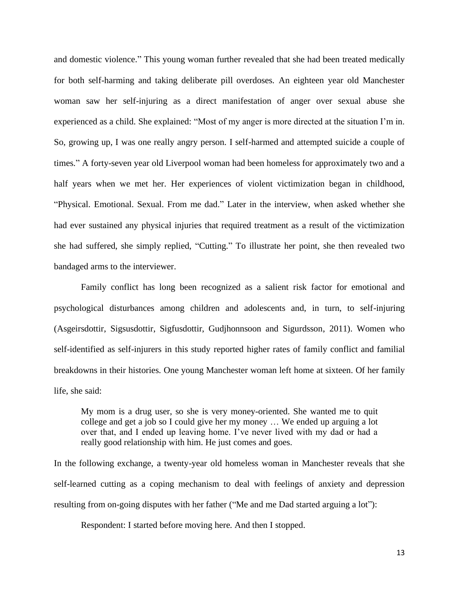and domestic violence." This young woman further revealed that she had been treated medically for both self-harming and taking deliberate pill overdoses. An eighteen year old Manchester woman saw her self-injuring as a direct manifestation of anger over sexual abuse she experienced as a child. She explained: "Most of my anger is more directed at the situation I'm in. So, growing up, I was one really angry person. I self-harmed and attempted suicide a couple of times." A forty-seven year old Liverpool woman had been homeless for approximately two and a half years when we met her. Her experiences of violent victimization began in childhood, "Physical. Emotional. Sexual. From me dad." Later in the interview, when asked whether she had ever sustained any physical injuries that required treatment as a result of the victimization she had suffered, she simply replied, "Cutting." To illustrate her point, she then revealed two bandaged arms to the interviewer.

Family conflict has long been recognized as a salient risk factor for emotional and psychological disturbances among children and adolescents and, in turn, to self-injuring (Asgeirsdottir, Sigsusdottir, Sigfusdottir, Gudjhonnsoon and Sigurdsson, 2011). Women who self-identified as self-injurers in this study reported higher rates of family conflict and familial breakdowns in their histories. One young Manchester woman left home at sixteen. Of her family life, she said:

My mom is a drug user, so she is very money-oriented. She wanted me to quit college and get a job so I could give her my money … We ended up arguing a lot over that, and I ended up leaving home. I've never lived with my dad or had a really good relationship with him. He just comes and goes.

In the following exchange, a twenty-year old homeless woman in Manchester reveals that she self-learned cutting as a coping mechanism to deal with feelings of anxiety and depression resulting from on-going disputes with her father ("Me and me Dad started arguing a lot"):

Respondent: I started before moving here. And then I stopped.

13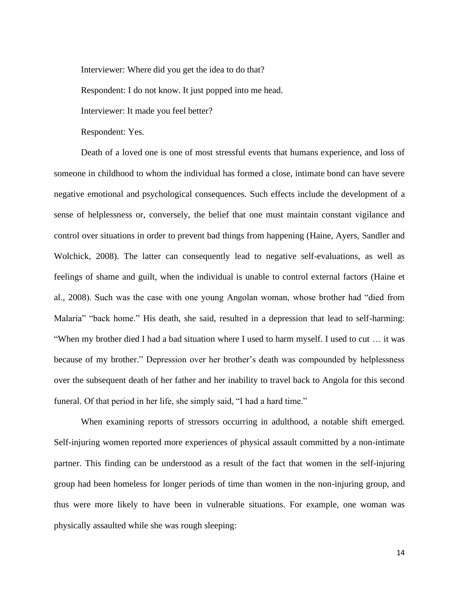Interviewer: Where did you get the idea to do that?

Respondent: I do not know. It just popped into me head.

Interviewer: It made you feel better?

Respondent: Yes.

Death of a loved one is one of most stressful events that humans experience, and loss of someone in childhood to whom the individual has formed a close, intimate bond can have severe negative emotional and psychological consequences. Such effects include the development of a sense of helplessness or, conversely, the belief that one must maintain constant vigilance and control over situations in order to prevent bad things from happening (Haine, Ayers, Sandler and Wolchick, 2008). The latter can consequently lead to negative self-evaluations, as well as feelings of shame and guilt, when the individual is unable to control external factors (Haine et al., 2008). Such was the case with one young Angolan woman, whose brother had "died from Malaria" "back home." His death, she said, resulted in a depression that lead to self-harming: "When my brother died I had a bad situation where I used to harm myself. I used to cut … it was because of my brother." Depression over her brother's death was compounded by helplessness over the subsequent death of her father and her inability to travel back to Angola for this second funeral. Of that period in her life, she simply said, "I had a hard time."

When examining reports of stressors occurring in adulthood, a notable shift emerged. Self-injuring women reported more experiences of physical assault committed by a non-intimate partner. This finding can be understood as a result of the fact that women in the self-injuring group had been homeless for longer periods of time than women in the non-injuring group, and thus were more likely to have been in vulnerable situations. For example, one woman was physically assaulted while she was rough sleeping: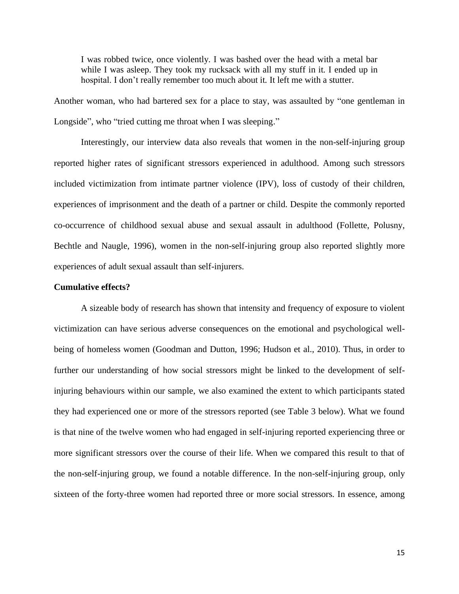I was robbed twice, once violently. I was bashed over the head with a metal bar while I was asleep. They took my rucksack with all my stuff in it. I ended up in hospital. I don't really remember too much about it. It left me with a stutter.

Another woman, who had bartered sex for a place to stay, was assaulted by "one gentleman in Longside", who "tried cutting me throat when I was sleeping."

Interestingly, our interview data also reveals that women in the non-self-injuring group reported higher rates of significant stressors experienced in adulthood. Among such stressors included victimization from intimate partner violence (IPV), loss of custody of their children, experiences of imprisonment and the death of a partner or child. Despite the commonly reported co-occurrence of childhood sexual abuse and sexual assault in adulthood (Follette, Polusny, Bechtle and Naugle, 1996), women in the non-self-injuring group also reported slightly more experiences of adult sexual assault than self-injurers.

### **Cumulative effects?**

A sizeable body of research has shown that intensity and frequency of exposure to violent victimization can have serious adverse consequences on the emotional and psychological wellbeing of homeless women (Goodman and Dutton, 1996; Hudson et al., 2010). Thus, in order to further our understanding of how social stressors might be linked to the development of selfinjuring behaviours within our sample, we also examined the extent to which participants stated they had experienced one or more of the stressors reported (see Table 3 below). What we found is that nine of the twelve women who had engaged in self-injuring reported experiencing three or more significant stressors over the course of their life. When we compared this result to that of the non-self-injuring group, we found a notable difference. In the non-self-injuring group, only sixteen of the forty-three women had reported three or more social stressors. In essence, among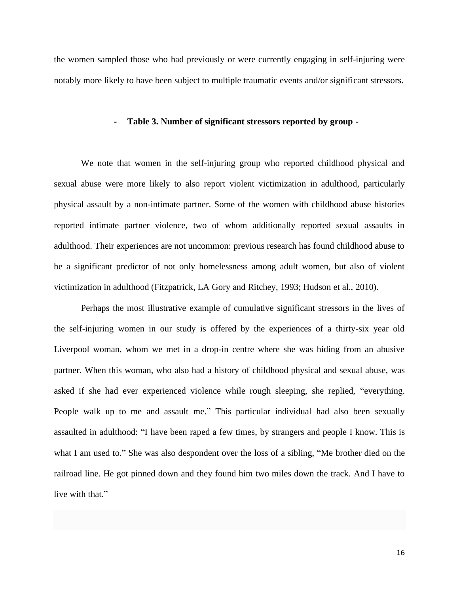the women sampled those who had previously or were currently engaging in self-injuring were notably more likely to have been subject to multiple traumatic events and/or significant stressors.

### **- Table 3. Number of significant stressors reported by group -**

We note that women in the self-injuring group who reported childhood physical and sexual abuse were more likely to also report violent victimization in adulthood, particularly physical assault by a non-intimate partner. Some of the women with childhood abuse histories reported intimate partner violence, two of whom additionally reported sexual assaults in adulthood. Their experiences are not uncommon: previous research has found childhood abuse to be a significant predictor of not only homelessness among adult women, but also of violent victimization in adulthood (Fitzpatrick, LA Gory and Ritchey, 1993; Hudson et al., 2010).

Perhaps the most illustrative example of cumulative significant stressors in the lives of the self-injuring women in our study is offered by the experiences of a thirty-six year old Liverpool woman, whom we met in a drop-in centre where she was hiding from an abusive partner. When this woman, who also had a history of childhood physical and sexual abuse, was asked if she had ever experienced violence while rough sleeping, she replied, "everything. People walk up to me and assault me." This particular individual had also been sexually assaulted in adulthood: "I have been raped a few times, by strangers and people I know. This is what I am used to." She was also despondent over the loss of a sibling, "Me brother died on the railroad line. He got pinned down and they found him two miles down the track. And I have to live with that."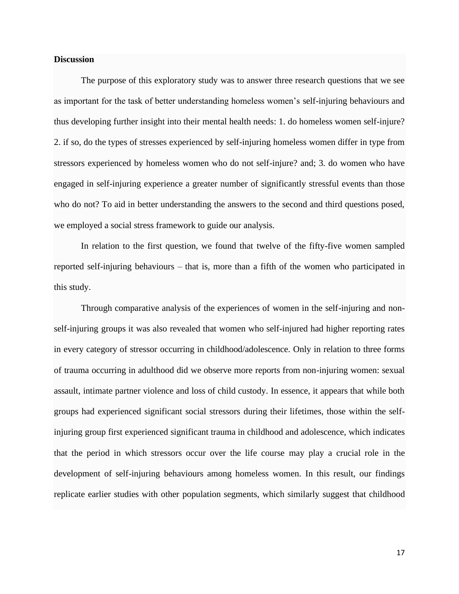## **Discussion**

The purpose of this exploratory study was to answer three research questions that we see as important for the task of better understanding homeless women's self-injuring behaviours and thus developing further insight into their mental health needs: 1. do homeless women self-injure? 2. if so, do the types of stresses experienced by self-injuring homeless women differ in type from stressors experienced by homeless women who do not self-injure? and; 3. do women who have engaged in self-injuring experience a greater number of significantly stressful events than those who do not? To aid in better understanding the answers to the second and third questions posed, we employed a social stress framework to guide our analysis.

In relation to the first question, we found that twelve of the fifty-five women sampled reported self-injuring behaviours – that is, more than a fifth of the women who participated in this study.

Through comparative analysis of the experiences of women in the self-injuring and nonself-injuring groups it was also revealed that women who self-injured had higher reporting rates in every category of stressor occurring in childhood/adolescence. Only in relation to three forms of trauma occurring in adulthood did we observe more reports from non-injuring women: sexual assault, intimate partner violence and loss of child custody. In essence, it appears that while both groups had experienced significant social stressors during their lifetimes, those within the selfinjuring group first experienced significant trauma in childhood and adolescence, which indicates that the period in which stressors occur over the life course may play a crucial role in the development of self-injuring behaviours among homeless women. In this result, our findings replicate earlier studies with other population segments, which similarly suggest that childhood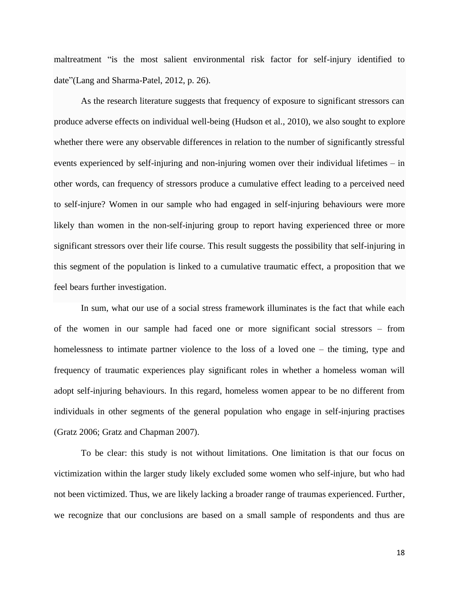maltreatment "is the most salient environmental risk factor for self-injury identified to date"(Lang and Sharma-Patel, 2012, p. 26).

As the research literature suggests that frequency of exposure to significant stressors can produce adverse effects on individual well-being (Hudson et al., 2010), we also sought to explore whether there were any observable differences in relation to the number of significantly stressful events experienced by self-injuring and non-injuring women over their individual lifetimes – in other words, can frequency of stressors produce a cumulative effect leading to a perceived need to self-injure? Women in our sample who had engaged in self-injuring behaviours were more likely than women in the non-self-injuring group to report having experienced three or more significant stressors over their life course. This result suggests the possibility that self-injuring in this segment of the population is linked to a cumulative traumatic effect, a proposition that we feel bears further investigation.

In sum, what our use of a social stress framework illuminates is the fact that while each of the women in our sample had faced one or more significant social stressors – from homelessness to intimate partner violence to the loss of a loved one – the timing, type and frequency of traumatic experiences play significant roles in whether a homeless woman will adopt self-injuring behaviours. In this regard, homeless women appear to be no different from individuals in other segments of the general population who engage in self-injuring practises (Gratz 2006; Gratz and Chapman 2007).

To be clear: this study is not without limitations. One limitation is that our focus on victimization within the larger study likely excluded some women who self-injure, but who had not been victimized. Thus, we are likely lacking a broader range of traumas experienced. Further, we recognize that our conclusions are based on a small sample of respondents and thus are

18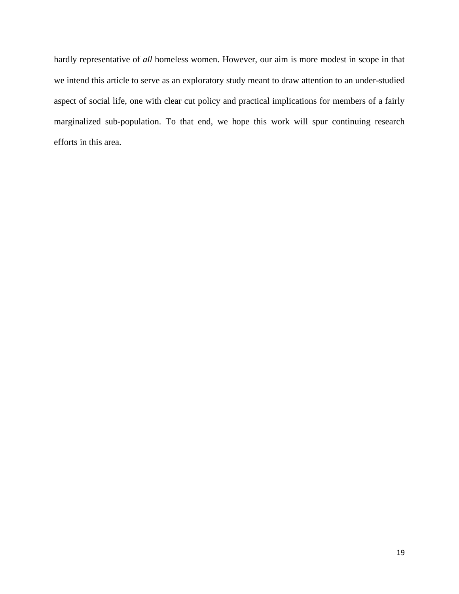hardly representative of *all* homeless women. However, our aim is more modest in scope in that we intend this article to serve as an exploratory study meant to draw attention to an under-studied aspect of social life, one with clear cut policy and practical implications for members of a fairly marginalized sub-population. To that end, we hope this work will spur continuing research efforts in this area.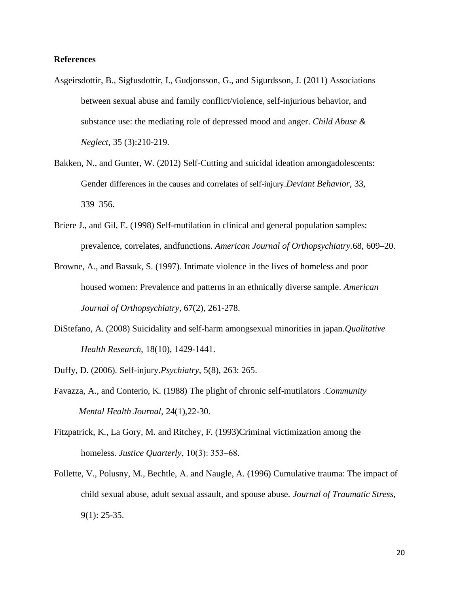# **References**

- Asgeirsdottir, B., Sigfusdottir, I., Gudjonsson, G., and Sigurdsson, J. (2011) Associations between sexual abuse and family conflict/violence, self-injurious behavior, and substance use: the mediating role of depressed mood and anger. *Child Abuse & Neglect*, 35 (3):210-219.
- Bakken, N., and Gunter, W. (2012) Self-Cutting and suicidal ideation amongadolescents: Gender differences in the causes and correlates of self-injury.*Deviant Behavior*, 33, 339–356.
- Briere J., and Gil, E. (1998) Self-mutilation in clinical and general population samples: prevalence, correlates, andfunctions. *American Journal of Orthopsychiatry.*68, 609–20.
- Browne, A., and Bassuk, S. (1997). Intimate violence in the lives of homeless and poor housed women: Prevalence and patterns in an ethnically diverse sample. *American Journal of Orthopsychiatry*, 67(2), 261-278.
- DiStefano, A. (2008) Suicidality and self-harm amongsexual minorities in japan.*Qualitative Health Research*, 18(10), 1429-1441.
- Duffy, D. (2006). Self-injury.*Psychiatry*, 5(8), 263: 265.
- Favazza, A., and Conterio, K. (1988) The plight of chronic self-mutilators .*Community Mental Health Journal,* 24(1),22-30.
- Fitzpatrick, K., La Gory, M. and Ritchey, F. (1993)Criminal victimization among the homeless. *Justice Quarterly*, 10(3): 353–68.
- Follette, V., Polusny, M., Bechtle, A. and Naugle, A. (1996) Cumulative trauma: The impact of child sexual abuse, adult sexual assault, and spouse abuse. *Journal of Traumatic Stress*, 9(1): 25-35.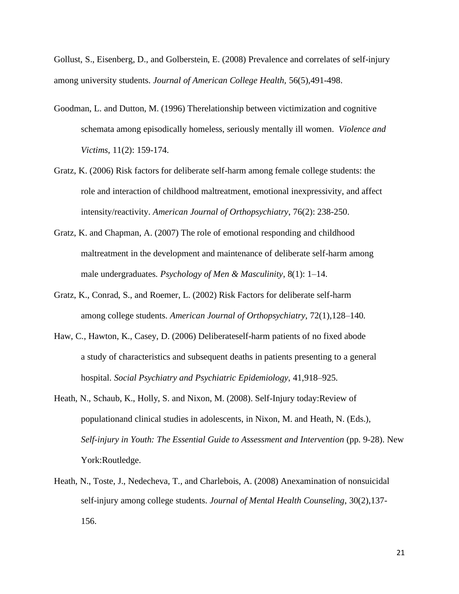Gollust, S., Eisenberg, D., and Golberstein, E. (2008) Prevalence and correlates of self-injury among university students. *Journal of American College Health,* 56(5),491-498.

- Goodman, L. and Dutton, M. (1996) Therelationship between victimization and cognitive schemata among episodically homeless, seriously mentally ill women. *Violence and Victims*, 11(2): 159-174.
- Gratz, K. (2006) Risk factors for deliberate self-harm among female college students: the role and interaction of childhood maltreatment, emotional inexpressivity, and affect intensity/reactivity. *American Journal of Orthopsychiatry*, 76(2): 238-250.
- Gratz, K. and Chapman, A. (2007) The role of emotional responding and childhood maltreatment in the development and maintenance of deliberate self-harm among male undergraduates. *Psychology of Men & Masculinity*, 8(1): 1–14.
- Gratz, K., Conrad, S., and Roemer, L. (2002) Risk Factors for deliberate self-harm among college students. *American Journal of Orthopsychiatry*, 72(1),128–140.
- Haw, C., Hawton, K., Casey, D. (2006) Deliberateself-harm patients of no fixed abode a study of characteristics and subsequent deaths in patients presenting to a general hospital. *Social Psychiatry and Psychiatric Epidemiology*, 41,918–925.
- Heath, N., Schaub, K., Holly, S. and Nixon, M. (2008). Self-Injury today:Review of populationand clinical studies in adolescents, in Nixon, M. and Heath, N. (Eds.), *Self-injury in Youth: The Essential Guide to Assessment and Intervention* (pp. 9-28). New York:Routledge.
- Heath, N., Toste, J., Nedecheva, T., and Charlebois, A. (2008) Anexamination of nonsuicidal self-injury among college students. *Journal of Mental Health Counseling*, 30(2),137- 156.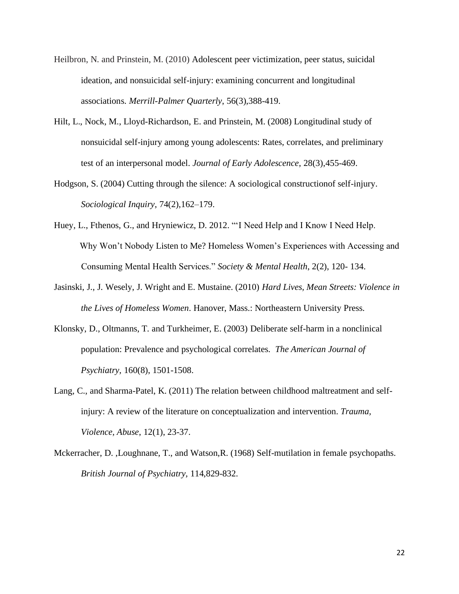- Heilbron, N. and Prinstein, M. (2010) Adolescent peer victimization, peer status, suicidal ideation, and nonsuicidal self-injury: examining concurrent and longitudinal associations. *Merrill-Palmer Quarterly*, 56(3),388-419.
- Hilt, L., Nock, M., Lloyd-Richardson, E. and Prinstein, M. (2008) Longitudinal study of nonsuicidal self-injury among young adolescents: Rates, correlates, and preliminary test of an interpersonal model. *Journal of Early Adolescence*, 28(3),455-469.
- Hodgson, S. (2004) Cutting through the silence: A sociological constructionof self-injury. *Sociological Inquiry*, 74(2),162–179.
- Huey, L., Fthenos, G., and Hryniewicz, D. 2012. "'I Need Help and I Know I Need Help. Why Won't Nobody Listen to Me? Homeless Women's Experiences with Accessing and Consuming Mental Health Services." *Society & Mental Health*, 2(2), 120- 134.
- Jasinski, J., J. Wesely, J. Wright and E. Mustaine. (2010) *Hard Lives, Mean Streets: Violence in the Lives of Homeless Women*. Hanover, Mass.: Northeastern University Press.
- Klonsky, D., Oltmanns, T. and Turkheimer, E. (2003) Deliberate self-harm in a nonclinical population: Prevalence and psychological correlates. *The American Journal of Psychiatry,* 160(8), 1501-1508.
- Lang, C., and Sharma-Patel, K. (2011) The relation between childhood maltreatment and selfinjury: A review of the literature on conceptualization and intervention. *Trauma, Violence, Abuse*, 12(1), 23-37.
- Mckerracher, D. ,Loughnane, T., and Watson,R. (1968) Self-mutilation in female psychopaths. *British Journal of Psychiatry,* 114,829-832.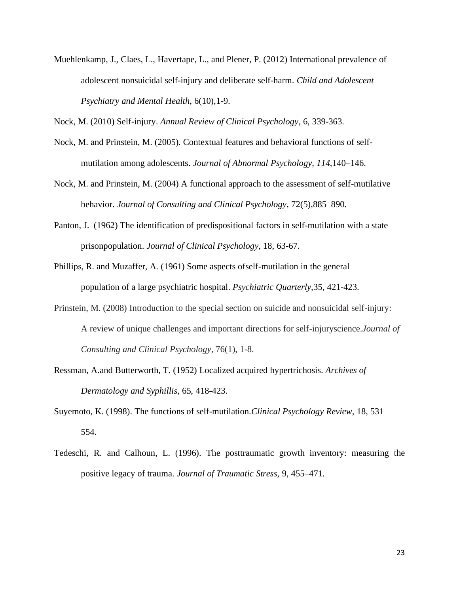Muehlenkamp, J., Claes, L., Havertape, L., and Plener, P. (2012) International prevalence of adolescent nonsuicidal self-injury and deliberate self-harm. *Child and Adolescent Psychiatry and Mental Health*, 6(10),1-9.

Nock, M. (2010) Self-injury. *Annual Review of Clinical Psychology*, 6, 339-363.

- Nock, M. and Prinstein, M. (2005). Contextual features and behavioral functions of selfmutilation among adolescents. *Journal of Abnormal Psychology, 114*,140–146.
- Nock, M. and Prinstein, M. (2004) A functional approach to the assessment of self-mutilative behavior. *Journal of Consulting and Clinical Psychology*, 72(5),885–890.
- Panton, J. (1962) The identification of predispositional factors in self-mutilation with a state prisonpopulation. *Journal of Clinical Psychology,* 18, 63-67.
- Phillips, R. and Muzaffer, A. (1961) Some aspects ofself-mutilation in the general population of a large psychiatric hospital. *Psychiatric Quarterly,*35, 421-423.
- Prinstein, M. (2008) Introduction to the special section on suicide and nonsuicidal self-injury: A review of unique challenges and important directions for self-injuryscience.*Journal of Consulting and Clinical Psychology*, 76(1), 1-8.
- Ressman, A.and Butterworth, T. (1952) Localized acquired hypertrichosis. *Archives of Dermatology and Syphillis,* 65, 418-423.
- Suyemoto, K. (1998). The functions of self-mutilation.*Clinical Psychology Review*, 18, 531– 554.
- Tedeschi, R. and Calhoun, L. (1996). The posttraumatic growth inventory: measuring the positive legacy of trauma. *Journal of Traumatic Stress,* 9, 455–471.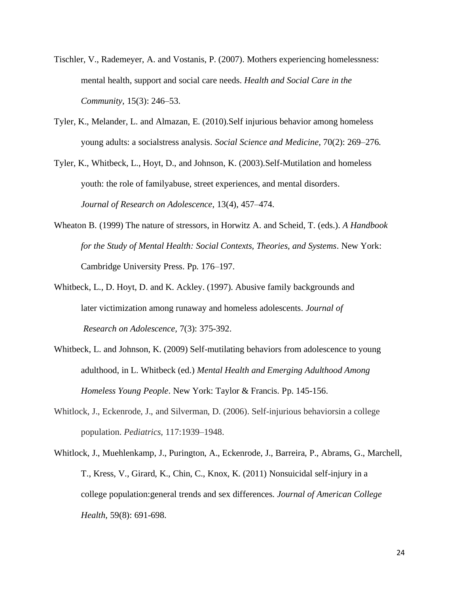- Tischler, V., Rademeyer, A. and Vostanis, P. (2007). Mothers experiencing homelessness: mental health, support and social care needs. *Health and Social Care in the Community,* 15(3): 246–53.
- Tyler, K., Melander, L. and Almazan, E. (2010).Self injurious behavior among homeless young adults: a socialstress analysis. *Social Science and Medicine,* 70(2): 269–276.

Tyler, K., Whitbeck, L., Hoyt, D., and Johnson, K. (2003).Self-Mutilation and homeless youth: the role of familyabuse, street experiences, and mental disorders. *Journal of Research on Adolescence*, 13(4), 457–474.

- Wheaton B. (1999) The nature of stressors, in Horwitz A. and Scheid, T. (eds.). *A Handbook for the Study of Mental Health: Social Contexts, Theories, and Systems*. New York: Cambridge University Press. Pp. 176–197.
- Whitbeck, L., D. Hoyt, D. and K. Ackley. (1997). Abusive family backgrounds and later victimization among runaway and homeless adolescents. *Journal of Research on Adolescence,* 7(3): 375-392.
- Whitbeck, L. and Johnson, K. (2009) Self-mutilating behaviors from adolescence to young adulthood, in L. Whitbeck (ed.) *Mental Health and Emerging Adulthood Among Homeless Young People*. New York: Taylor & Francis. Pp. 145-156.
- Whitlock, J., Eckenrode, J., and Silverman, D. (2006). Self-injurious behaviorsin a college population. *Pediatrics,* 117:1939–1948.
- Whitlock, J., Muehlenkamp, J., Purington, A., Eckenrode, J., Barreira, P., Abrams, G., Marchell, T., Kress, V., Girard, K., Chin, C., Knox, K. (2011) Nonsuicidal self-injury in a college population:general trends and sex differences. *Journal of American College Health,* 59(8): 691-698.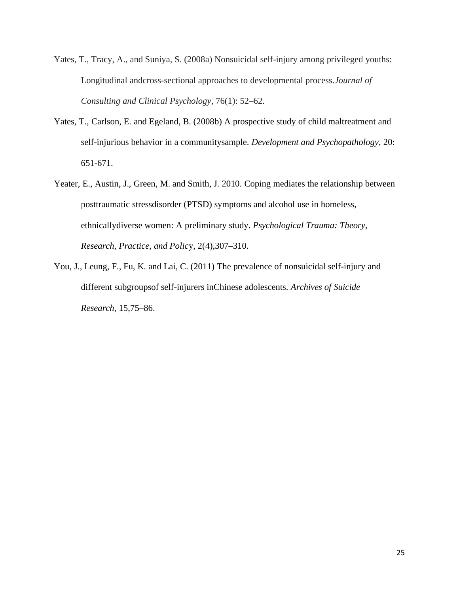- Yates, T., Tracy, A., and Suniya, S. (2008a) Nonsuicidal self-injury among privileged youths: Longitudinal andcross-sectional approaches to developmental process.*Journal of Consulting and Clinical Psychology*, 76(1): 52–62.
- Yates, T., Carlson, E. and Egeland, B. (2008b) A prospective study of child maltreatment and self-injurious behavior in a communitysample. *Development and Psychopathology*, 20: 651-671.
- Yeater, E., Austin, J., Green, M. and Smith, J. 2010. Coping mediates the relationship between posttraumatic stressdisorder (PTSD) symptoms and alcohol use in homeless, ethnicallydiverse women: A preliminary study. *Psychological Trauma: Theory, Research, Practice, and Polic*y, 2(4),307–310.
- You, J., Leung, F., Fu, K. and Lai, C. (2011) The prevalence of nonsuicidal self-injury and different subgroupsof self-injurers inChinese adolescents. *Archives of Suicide Research*, 15,75–86.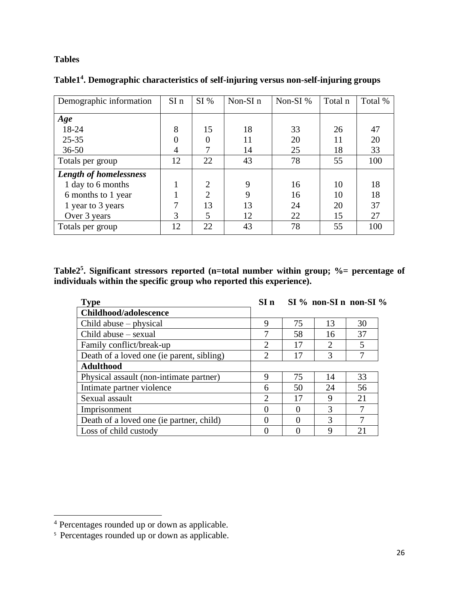# **Tables**

| Demographic information       | $SI$ n | SI%            | Non- $SI$ n | Non-SI % | Total n | Total % |
|-------------------------------|--------|----------------|-------------|----------|---------|---------|
| Age                           |        |                |             |          |         |         |
| 18-24                         | 8      | 15             | 18          | 33       | 26      | 47      |
| $25 - 35$                     |        | $\Omega$       | 11          | 20       | 11      | 20      |
| $36 - 50$                     | 4      |                | 14          | 25       | 18      | 33      |
| Totals per group              | 12     | 22             | 43          | 78       | 55      | 100     |
| <b>Length of homelessness</b> |        |                |             |          |         |         |
| 1 day to 6 months             |        | $\overline{2}$ | 9           | 16       | 10      | 18      |
| 6 months to 1 year            |        | $\overline{2}$ | 9           | 16       | 10      | 18      |
| 1 year to 3 years             |        | 13             | 13          | 24       | 20      | 37      |
| Over 3 years                  | 3      | 5              | 12          | 22       | 15      | 27      |
| Totals per group              | 12     | 22             | 43          | 78       | 55      | 100     |

**Table1<sup>4</sup> . Demographic characteristics of self-injuring versus non-self-injuring groups**

**Table2<sup>5</sup> . Significant stressors reported (n=total number within group; %= percentage of individuals within the specific group who reported this experience).** 

| <b>Type</b>                               | SI <sub>n</sub>             |    | $SI\%$ non-SI n non-SI % |    |  |
|-------------------------------------------|-----------------------------|----|--------------------------|----|--|
| Childhood/adolescence                     |                             |    |                          |    |  |
| Child abuse – physical                    | 9                           | 75 | 13                       | 30 |  |
| Child abuse – sexual                      |                             | 58 | 16                       | 37 |  |
| Family conflict/break-up                  | $\mathcal{D}_{\mathcal{L}}$ | 17 | 2                        | 5  |  |
| Death of a loved one (ie parent, sibling) | ∍                           | 17 | 3                        | 7  |  |
| <b>Adulthood</b>                          |                             |    |                          |    |  |
| Physical assault (non-intimate partner)   | 9                           | 75 | 14                       | 33 |  |
| Intimate partner violence                 | 6                           | 50 | 24                       | 56 |  |
| Sexual assault                            | 2                           | 17 | 9                        | 21 |  |
| Imprisonment                              |                             |    | 3                        | 7  |  |
| Death of a loved one (ie partner, child)  |                             |    | 3                        | 7  |  |
| Loss of child custody                     |                             |    | 9                        | 21 |  |

<sup>4</sup> Percentages rounded up or down as applicable.

<sup>&</sup>lt;sup>5</sup> Percentages rounded up or down as applicable.